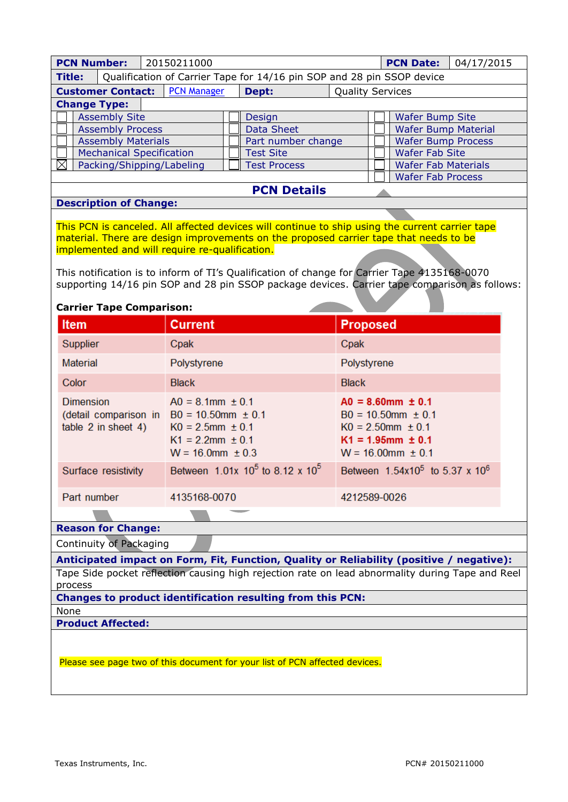| <b>PCN Number:</b>                                                                               | 20150211000<br>04/17/2015<br><b>PCN Date:</b>                                                   |                                                                                               |  |  |
|--------------------------------------------------------------------------------------------------|-------------------------------------------------------------------------------------------------|-----------------------------------------------------------------------------------------------|--|--|
| <b>Title:</b><br>Qualification of Carrier Tape for 14/16 pin SOP and 28 pin SSOP device          |                                                                                                 |                                                                                               |  |  |
| <b>PCN Manager</b><br>Dept:<br><b>Quality Services</b><br><b>Customer Contact:</b>               |                                                                                                 |                                                                                               |  |  |
| <b>Change Type:</b>                                                                              |                                                                                                 |                                                                                               |  |  |
| <b>Assembly Site</b>                                                                             |                                                                                                 | <b>Wafer Bump Site</b>                                                                        |  |  |
| <b>Assembly Process</b>                                                                          | Design<br><b>Data Sheet</b>                                                                     | <b>Wafer Bump Material</b>                                                                    |  |  |
| <b>Assembly Materials</b>                                                                        | Part number change                                                                              | <b>Wafer Bump Process</b>                                                                     |  |  |
| <b>Mechanical Specification</b>                                                                  | <b>Test Site</b>                                                                                | <b>Wafer Fab Site</b>                                                                         |  |  |
|                                                                                                  | <b>Test Process</b>                                                                             | <b>Wafer Fab Materials</b>                                                                    |  |  |
| Packing/Shipping/Labeling<br><b>Wafer Fab Process</b>                                            |                                                                                                 |                                                                                               |  |  |
| <b>PCN Details</b>                                                                               |                                                                                                 |                                                                                               |  |  |
| <b>Description of Change:</b>                                                                    |                                                                                                 |                                                                                               |  |  |
|                                                                                                  |                                                                                                 |                                                                                               |  |  |
|                                                                                                  | This PCN is canceled. All affected devices will continue to ship using the current carrier tape |                                                                                               |  |  |
|                                                                                                  | material. There are design improvements on the proposed carrier tape that needs to be           |                                                                                               |  |  |
|                                                                                                  | implemented and will require re-qualification.                                                  |                                                                                               |  |  |
|                                                                                                  |                                                                                                 |                                                                                               |  |  |
|                                                                                                  | This notification is to inform of TI's Qualification of change for Carrier Tape 4135168-0070    |                                                                                               |  |  |
|                                                                                                  |                                                                                                 | supporting 14/16 pin SOP and 28 pin SSOP package devices. Carrier tape comparison as follows: |  |  |
| <b>Carrier Tape Comparison:</b>                                                                  |                                                                                                 |                                                                                               |  |  |
|                                                                                                  |                                                                                                 |                                                                                               |  |  |
| Item                                                                                             | <b>Current</b>                                                                                  | <b>Proposed</b>                                                                               |  |  |
| Supplier                                                                                         | Cpak                                                                                            | Cpak                                                                                          |  |  |
| <b>Material</b>                                                                                  | Polystyrene                                                                                     | Polystyrene                                                                                   |  |  |
| Color                                                                                            | <b>Black</b>                                                                                    | <b>Black</b>                                                                                  |  |  |
| <b>Dimension</b>                                                                                 | $AO = 8.1$ mm $\pm 0.1$                                                                         | $AO = 8.60$ mm $\pm 0.1$                                                                      |  |  |
|                                                                                                  | (detail comparison in $B0 = 10.50$ mm $\pm 0.1$                                                 | $B0 = 10.50$ mm $\pm 0.1$                                                                     |  |  |
| table 2 in sheet 4)                                                                              | $KO = 2.5mm \pm 0.1$                                                                            | $KO = 2.50$ mm $\pm 0.1$                                                                      |  |  |
|                                                                                                  | $K1 = 2.2$ mm $\pm 0.1$                                                                         | $K1 = 1.95$ mm $\pm 0.1$                                                                      |  |  |
|                                                                                                  | $W = 16.0$ mm $\pm 0.3$                                                                         | $W = 16.00$ mm $\pm 0.1$                                                                      |  |  |
| Surface resistivity                                                                              | Between $1.01x$ 10 <sup>5</sup> to 8.12 x 10 <sup>5</sup>                                       | Between 1.54x10 <sup>5</sup> to 5.37 x 10 <sup>6</sup>                                        |  |  |
|                                                                                                  |                                                                                                 |                                                                                               |  |  |
| Part number                                                                                      | 4135168-0070                                                                                    | 4212589-0026                                                                                  |  |  |
|                                                                                                  |                                                                                                 |                                                                                               |  |  |
| <b>Reason for Change:</b>                                                                        |                                                                                                 |                                                                                               |  |  |
| Continuity of Packaging                                                                          |                                                                                                 |                                                                                               |  |  |
| Anticipated impact on Form, Fit, Function, Quality or Reliability (positive / negative):         |                                                                                                 |                                                                                               |  |  |
| Tape Side pocket reflection causing high rejection rate on lead abnormality during Tape and Reel |                                                                                                 |                                                                                               |  |  |
| process                                                                                          |                                                                                                 |                                                                                               |  |  |
| <b>Changes to product identification resulting from this PCN:</b>                                |                                                                                                 |                                                                                               |  |  |
| None                                                                                             |                                                                                                 |                                                                                               |  |  |
| <b>Product Affected:</b>                                                                         |                                                                                                 |                                                                                               |  |  |
|                                                                                                  |                                                                                                 |                                                                                               |  |  |
|                                                                                                  |                                                                                                 |                                                                                               |  |  |
| Please see page two of this document for your list of PCN affected devices.                      |                                                                                                 |                                                                                               |  |  |
|                                                                                                  |                                                                                                 |                                                                                               |  |  |
|                                                                                                  |                                                                                                 |                                                                                               |  |  |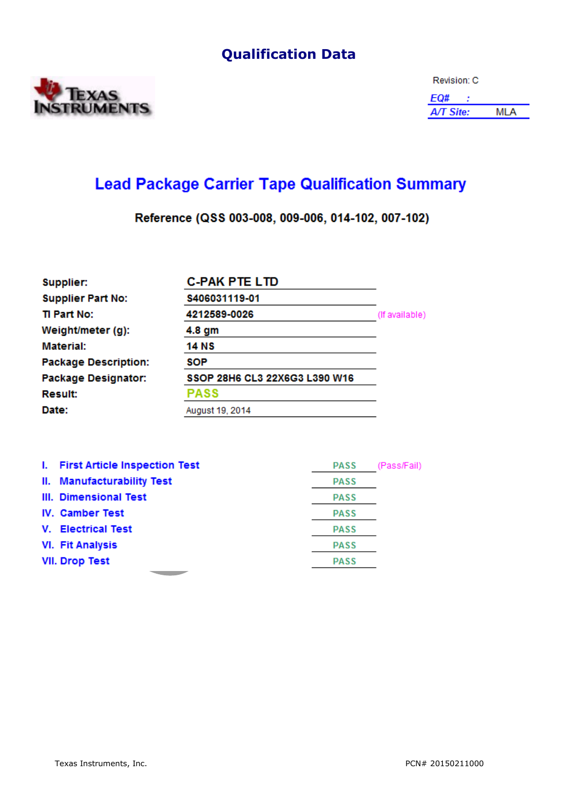## **Qualification Data**



| Revision: C      |      |  |
|------------------|------|--|
| EQ#              |      |  |
| <b>A/T Site:</b> | MI A |  |

## **Lead Package Carrier Tape Qualification Summary**

Reference (QSS 003-008, 009-006, 014-102, 007-102)

| Supplier:                   | <b>C-PAK PTE LTD</b>          |                |
|-----------------------------|-------------------------------|----------------|
| <b>Supplier Part No:</b>    | S406031119-01                 |                |
| TI Part No:                 | 4212589-0026                  | (If available) |
| Weight/meter (g):           | 4.8 gm                        |                |
| Material:                   | 14 NS                         |                |
| <b>Package Description:</b> | SOP                           |                |
| <b>Package Designator:</b>  | SSOP 28H6 CL3 22X6G3 L390 W16 |                |
| <b>Result:</b>              | <b>PASS</b>                   |                |
| Date:                       | August 19, 2014               |                |

| I. First Article Inspection Test | <b>PASS</b> | (Pass/Fail) |
|----------------------------------|-------------|-------------|
| II. Manufacturability Test       | <b>PASS</b> |             |
| III. Dimensional Test            | <b>PASS</b> |             |
| <b>IV. Camber Test</b>           | <b>PASS</b> |             |
| V. Electrical Test               | <b>PASS</b> |             |
| <b>VI. Fit Analysis</b>          | <b>PASS</b> |             |
| <b>VII. Drop Test</b>            | <b>PASS</b> |             |
|                                  |             |             |